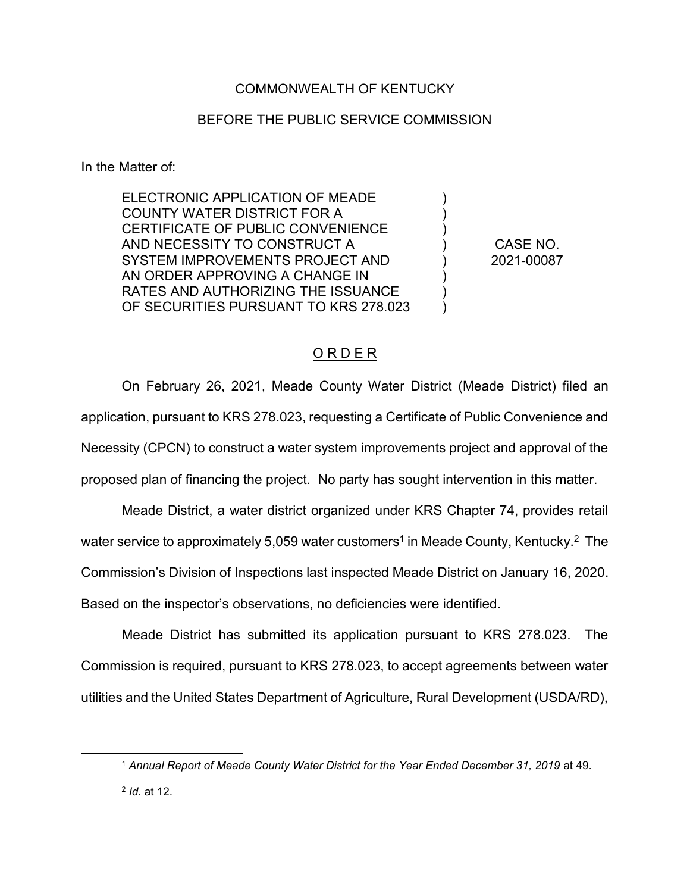## COMMONWEALTH OF KENTUCKY

## BEFORE THE PUBLIC SERVICE COMMISSION

In the Matter of:

 $\overline{a}$ 

ELECTRONIC APPLICATION OF MEADE COUNTY WATER DISTRICT FOR A CERTIFICATE OF PUBLIC CONVENIENCE AND NECESSITY TO CONSTRUCT A SYSTEM IMPROVEMENTS PROJECT AND AN ORDER APPROVING A CHANGE IN RATES AND AUTHORIZING THE ISSUANCE OF SECURITIES PURSUANT TO KRS 278.023

CASE NO. 2021-00087

) ) ) ) ) ) ) )

## O R D E R

On February 26, 2021, Meade County Water District (Meade District) filed an application, pursuant to KRS 278.023, requesting a Certificate of Public Convenience and Necessity (CPCN) to construct a water system improvements project and approval of the proposed plan of financing the project. No party has sought intervention in this matter.

Meade District, a water district organized under KRS Chapter 74, provides retail water service to approximately 5,059 water customers<sup>1</sup> in Meade County, Kentucky.<sup>2</sup> The Commission's Division of Inspections last inspected Meade District on January 16, 2020. Based on the inspector's observations, no deficiencies were identified.

Meade District has submitted its application pursuant to KRS 278.023. The Commission is required, pursuant to KRS 278.023, to accept agreements between water utilities and the United States Department of Agriculture, Rural Development (USDA/RD),

<sup>&</sup>lt;sup>1</sup> Annual Report of Meade County Water District for the Year Ended December 31, 2019 at 49. <sup>2</sup> *Id.* at 12.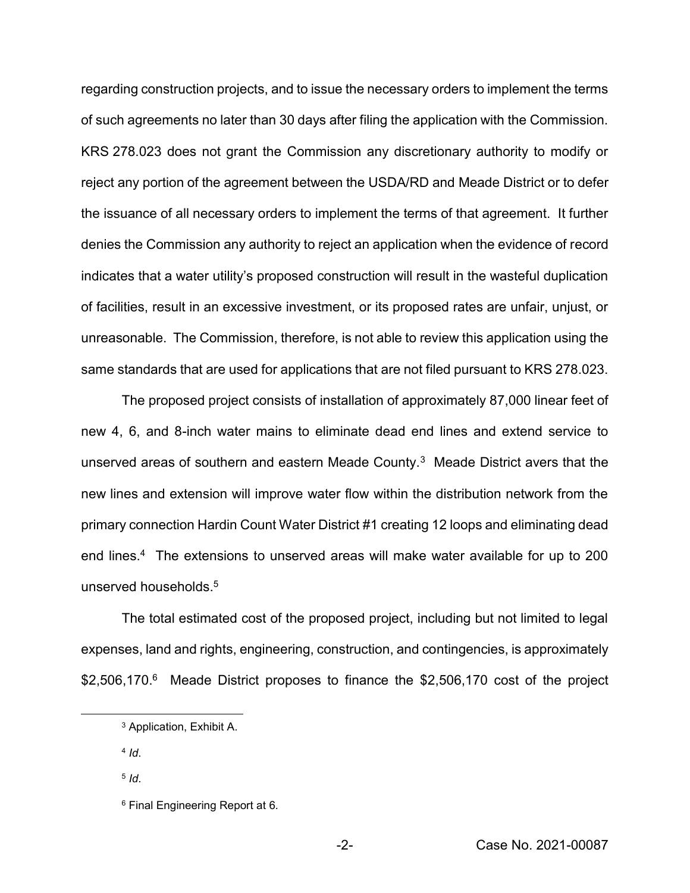regarding construction projects, and to issue the necessary orders to implement the terms of such agreements no later than 30 days after filing the application with the Commission. KRS 278.023 does not grant the Commission any discretionary authority to modify or reject any portion of the agreement between the USDA/RD and Meade District or to defer the issuance of all necessary orders to implement the terms of that agreement. It further denies the Commission any authority to reject an application when the evidence of record indicates that a water utility's proposed construction will result in the wasteful duplication of facilities, result in an excessive investment, or its proposed rates are unfair, unjust, or unreasonable. The Commission, therefore, is not able to review this application using the same standards that are used for applications that are not filed pursuant to KRS 278.023.

The proposed project consists of installation of approximately 87,000 linear feet of new 4, 6, and 8-inch water mains to eliminate dead end lines and extend service to unserved areas of southern and eastern Meade County.3 Meade District avers that the new lines and extension will improve water flow within the distribution network from the primary connection Hardin Count Water District #1 creating 12 loops and eliminating dead end lines.<sup>4</sup> The extensions to unserved areas will make water available for up to 200 unserved households.<sup>5</sup>

The total estimated cost of the proposed project, including but not limited to legal expenses, land and rights, engineering, construction, and contingencies, is approximately \$2,506,170.<sup>6</sup> Meade District proposes to finance the \$2,506,170 cost of the project

 $\overline{\phantom{a}}$ 

<sup>3</sup> Application, Exhibit A.

<sup>4</sup> *Id*.

<sup>5</sup> *Id*.

<sup>6</sup> Final Engineering Report at 6*.*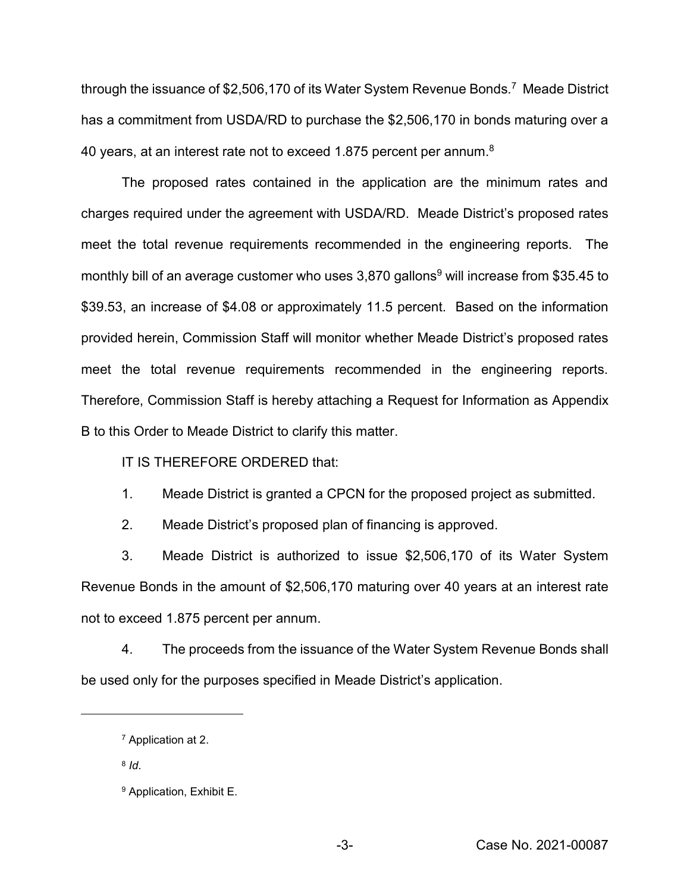through the issuance of \$2,506,170 of its Water System Revenue Bonds*.* <sup>7</sup>Meade District has a commitment from USDA/RD to purchase the \$2,506,170 in bonds maturing over a 40 years, at an interest rate not to exceed 1.875 percent per annum.<sup>8</sup>

The proposed rates contained in the application are the minimum rates and charges required under the agreement with USDA/RD. Meade District's proposed rates meet the total revenue requirements recommended in the engineering reports.The monthly bill of an average customer who uses  $3,870$  gallons<sup>9</sup> will increase from \$35.45 to \$39.53, an increase of \$4.08 or approximately 11.5 percent. Based on the information provided herein, Commission Staff will monitor whether Meade District's proposed rates meet the total revenue requirements recommended in the engineering reports. Therefore, Commission Staff is hereby attaching a Request for Information as Appendix B to this Order to Meade District to clarify this matter.

IT IS THEREFORE ORDERED that:

1. Meade District is granted a CPCN for the proposed project as submitted.

2. Meade District's proposed plan of financing is approved.

3. Meade District is authorized to issue \$2,506,170 of its Water System Revenue Bonds in the amount of \$2,506,170 maturing over 40 years at an interest rate not to exceed 1.875 percent per annum.

4. The proceeds from the issuance of the Water System Revenue Bonds shall be used only for the purposes specified in Meade District's application.

 $\overline{\phantom{a}}$ 

<sup>7</sup> Application at 2.

<sup>8</sup> *Id*.

<sup>9</sup> Application, Exhibit E.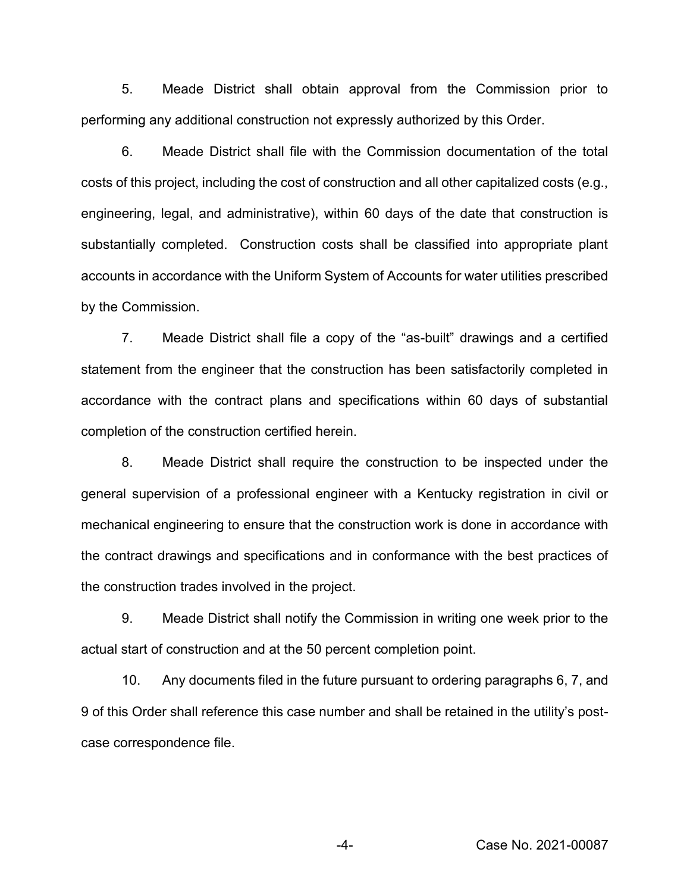5. Meade District shall obtain approval from the Commission prior to performing any additional construction not expressly authorized by this Order.

6. Meade District shall file with the Commission documentation of the total costs of this project, including the cost of construction and all other capitalized costs (e.g., engineering, legal, and administrative), within 60 days of the date that construction is substantially completed. Construction costs shall be classified into appropriate plant accounts in accordance with the Uniform System of Accounts for water utilities prescribed by the Commission.

7. Meade District shall file a copy of the "as-built" drawings and a certified statement from the engineer that the construction has been satisfactorily completed in accordance with the contract plans and specifications within 60 days of substantial completion of the construction certified herein.

8. Meade District shall require the construction to be inspected under the general supervision of a professional engineer with a Kentucky registration in civil or mechanical engineering to ensure that the construction work is done in accordance with the contract drawings and specifications and in conformance with the best practices of the construction trades involved in the project.

9. Meade District shall notify the Commission in writing one week prior to the actual start of construction and at the 50 percent completion point.

10. Any documents filed in the future pursuant to ordering paragraphs 6, 7, and 9 of this Order shall reference this case number and shall be retained in the utility's postcase correspondence file.

-4- Case No. 2021-00087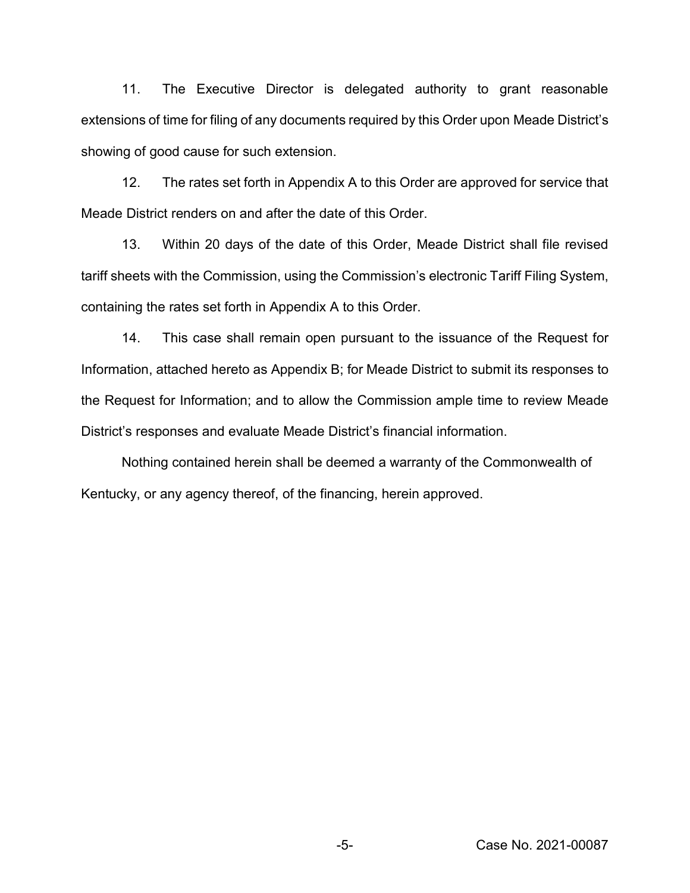11. The Executive Director is delegated authority to grant reasonable extensions of time for filing of any documents required by this Order upon Meade District's showing of good cause for such extension.

12. The rates set forth in Appendix A to this Order are approved for service that Meade District renders on and after the date of this Order.

13. Within 20 days of the date of this Order, Meade District shall file revised tariff sheets with the Commission, using the Commission's electronic Tariff Filing System, containing the rates set forth in Appendix A to this Order.

14. This case shall remain open pursuant to the issuance of the Request for Information, attached hereto as Appendix B; for Meade District to submit its responses to the Request for Information; and to allow the Commission ample time to review Meade District's responses and evaluate Meade District's financial information.

Nothing contained herein shall be deemed a warranty of the Commonwealth of Kentucky, or any agency thereof, of the financing, herein approved.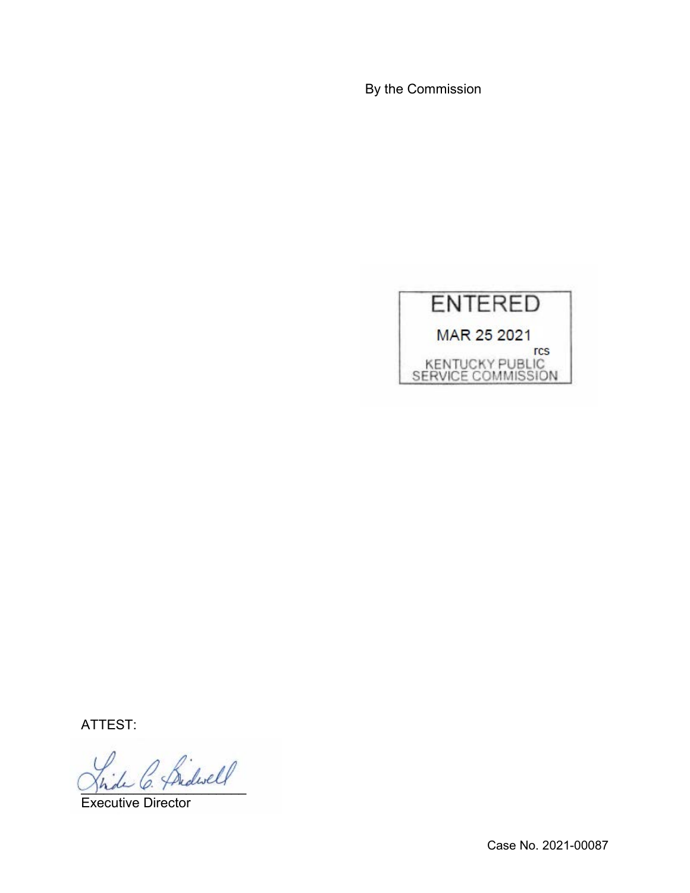By the Commission



ATTEST:

2 Bidwell

Executive Director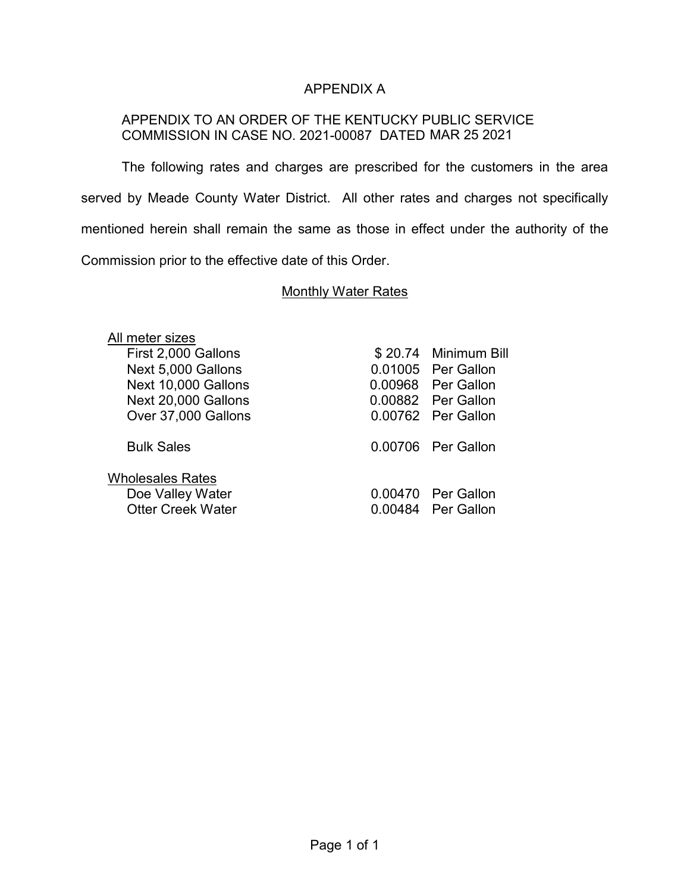## APPENDIX A

## APPENDIX TO AN ORDER OF THE KENTUCKY PUBLIC SERVICE COMMISSION IN CASE NO. 2021-00087 DATED MAR 25 2021

The following rates and charges are prescribed for the customers in the area served by Meade County Water District. All other rates and charges not specifically mentioned herein shall remain the same as those in effect under the authority of the Commission prior to the effective date of this Order.

#### **Monthly Water Rates**

| All meter sizes          |                      |
|--------------------------|----------------------|
| First 2,000 Gallons      | \$20.74 Minimum Bill |
| Next 5,000 Gallons       | 0.01005 Per Gallon   |
| Next 10,000 Gallons      | 0.00968 Per Gallon   |
| Next 20,000 Gallons      | 0.00882 Per Gallon   |
| Over 37,000 Gallons      | 0.00762 Per Gallon   |
| <b>Bulk Sales</b>        | 0.00706 Per Gallon   |
| <b>Wholesales Rates</b>  |                      |
| Doe Valley Water         | 0.00470 Per Gallon   |
| <b>Otter Creek Water</b> | 0.00484 Per Gallon   |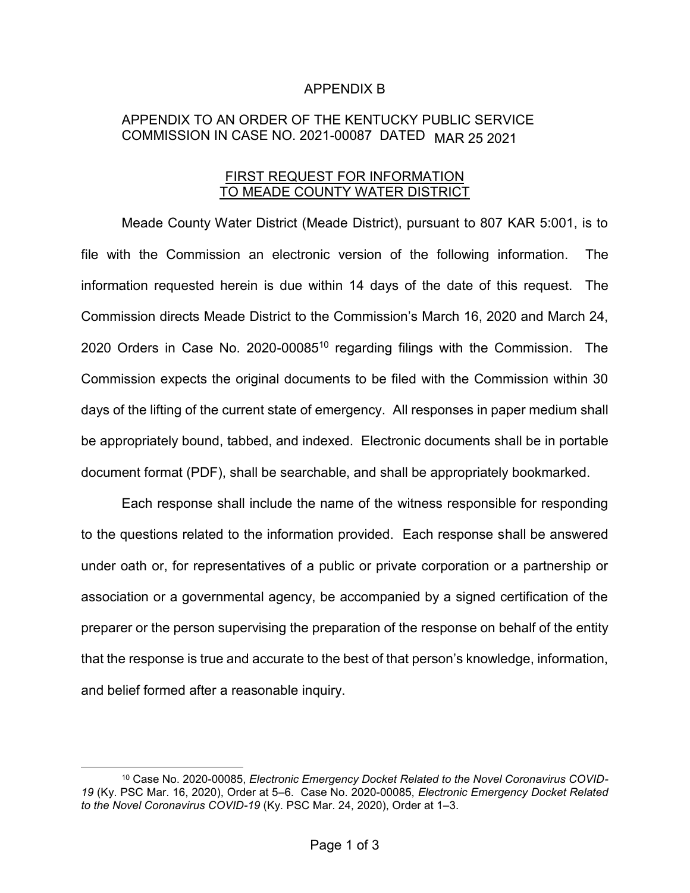#### APPENDIX B

# APPENDIX TO AN ORDER OF THE KENTUCKY PUBLIC SERVICE COMMISSION IN CASE NO. 2021-00087 DATED MAR 25 2021

#### FIRST REQUEST FOR INFORMATION TO MEADE COUNTY WATER DISTRICT

Meade County Water District (Meade District), pursuant to 807 KAR 5:001, is to file with the Commission an electronic version of the following information. The information requested herein is due within 14 days of the date of this request. The Commission directs Meade District to the Commission's March 16, 2020 and March 24, 2020 Orders in Case No. 2020-0008510 regarding filings with the Commission. The Commission expects the original documents to be filed with the Commission within 30 days of the lifting of the current state of emergency. All responses in paper medium shall be appropriately bound, tabbed, and indexed. Electronic documents shall be in portable document format (PDF), shall be searchable, and shall be appropriately bookmarked.

Each response shall include the name of the witness responsible for responding to the questions related to the information provided. Each response shall be answered under oath or, for representatives of a public or private corporation or a partnership or association or a governmental agency, be accompanied by a signed certification of the preparer or the person supervising the preparation of the response on behalf of the entity that the response is true and accurate to the best of that person's knowledge, information, and belief formed after a reasonable inquiry.

<sup>&</sup>lt;sup>10</sup> Case No. 2020-00085, *Electronic Emergency Docket Related to the Novel Coronavirus COVID-19* (Ky. PSC Mar. 16, 2020), Order at 5–6. Case No. 2020-00085, *Electronic Emergency Docket Related to the Novel Coronavirus COVID-19* (Ky. PSC Mar. 24, 2020), Order at 1–3.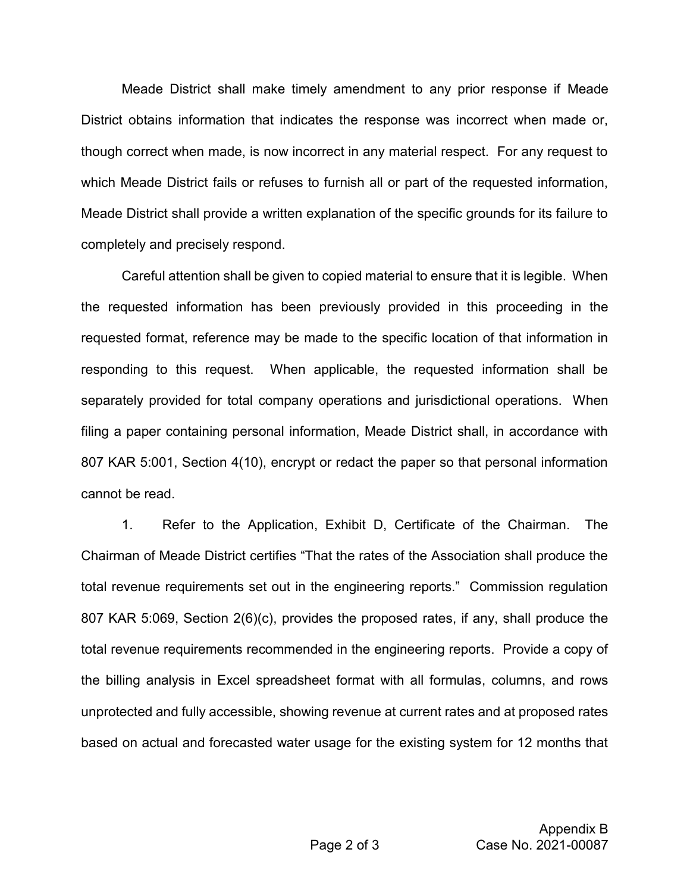Meade District shall make timely amendment to any prior response if Meade District obtains information that indicates the response was incorrect when made or, though correct when made, is now incorrect in any material respect. For any request to which Meade District fails or refuses to furnish all or part of the requested information, Meade District shall provide a written explanation of the specific grounds for its failure to completely and precisely respond.

Careful attention shall be given to copied material to ensure that it is legible. When the requested information has been previously provided in this proceeding in the requested format, reference may be made to the specific location of that information in responding to this request. When applicable, the requested information shall be separately provided for total company operations and jurisdictional operations. When filing a paper containing personal information, Meade District shall, in accordance with 807 KAR 5:001, Section 4(10), encrypt or redact the paper so that personal information cannot be read.

1. Refer to the Application, Exhibit D, Certificate of the Chairman. The Chairman of Meade District certifies "That the rates of the Association shall produce the total revenue requirements set out in the engineering reports." Commission regulation 807 KAR 5:069, Section 2(6)(c), provides the proposed rates, if any, shall produce the total revenue requirements recommended in the engineering reports. Provide a copy of the billing analysis in Excel spreadsheet format with all formulas, columns, and rows unprotected and fully accessible, showing revenue at current rates and at proposed rates based on actual and forecasted water usage for the existing system for 12 months that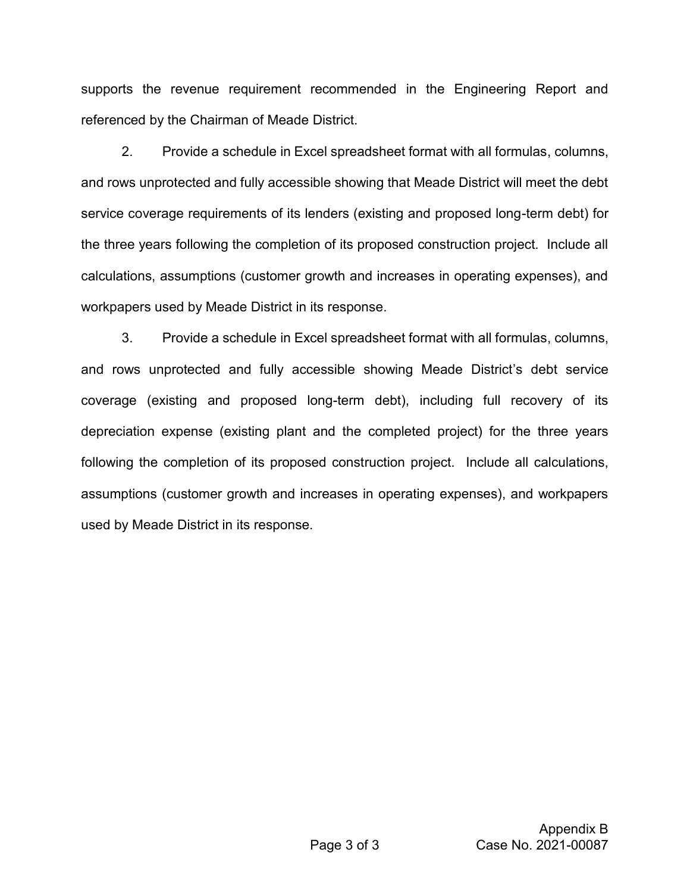supports the revenue requirement recommended in the Engineering Report and referenced by the Chairman of Meade District.

2. Provide a schedule in Excel spreadsheet format with all formulas, columns, and rows unprotected and fully accessible showing that Meade District will meet the debt service coverage requirements of its lenders (existing and proposed long-term debt) for the three years following the completion of its proposed construction project. Include all calculations, assumptions (customer growth and increases in operating expenses), and workpapers used by Meade District in its response.

3. Provide a schedule in Excel spreadsheet format with all formulas, columns, and rows unprotected and fully accessible showing Meade District's debt service coverage (existing and proposed long-term debt), including full recovery of its depreciation expense (existing plant and the completed project) for the three years following the completion of its proposed construction project. Include all calculations, assumptions (customer growth and increases in operating expenses), and workpapers used by Meade District in its response.